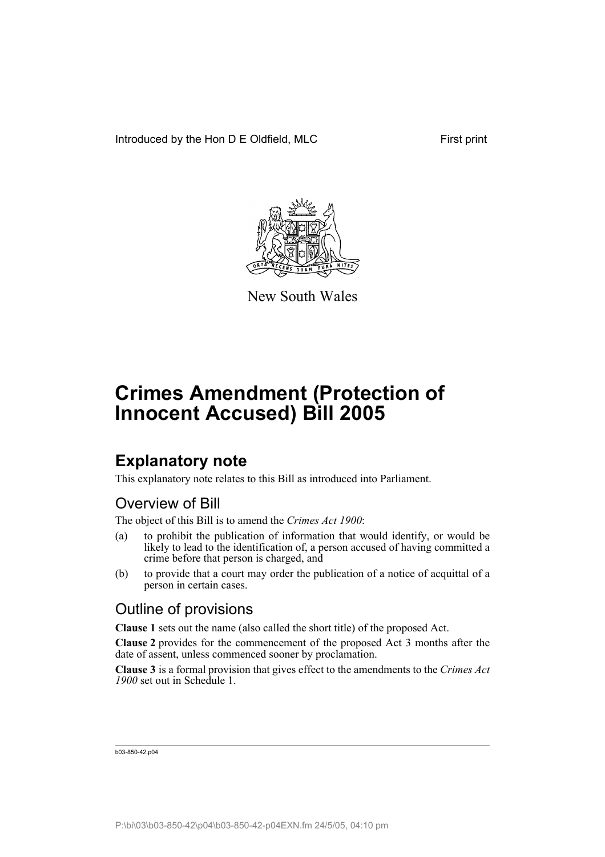

New South Wales

### **Explanatory note**

This explanatory note relates to this Bill as introduced into Parliament.

### Overview of Bill

The object of this Bill is to amend the *Crimes Act 1900*:

- (a) to prohibit the publication of information that would identify, or would be likely to lead to the identification of, a person accused of having committed a crime before that person is charged, and
- (b) to provide that a court may order the publication of a notice of acquittal of a person in certain cases.

### Outline of provisions

**Clause 1** sets out the name (also called the short title) of the proposed Act.

**Clause 2** provides for the commencement of the proposed Act 3 months after the date of assent, unless commenced sooner by proclamation.

**Clause 3** is a formal provision that gives effect to the amendments to the *Crimes Act 1900* set out in Schedule 1.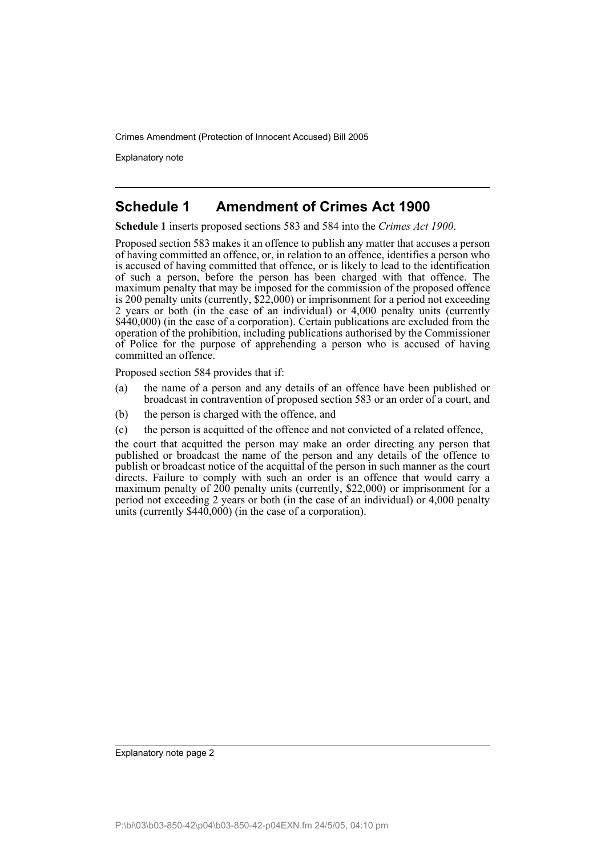Explanatory note

#### **Schedule 1 Amendment of Crimes Act 1900**

**Schedule 1** inserts proposed sections 583 and 584 into the *Crimes Act 1900*.

Proposed section 583 makes it an offence to publish any matter that accuses a person of having committed an offence, or, in relation to an offence, identifies a person who is accused of having committed that offence, or is likely to lead to the identification of such a person, before the person has been charged with that offence. The maximum penalty that may be imposed for the commission of the proposed offence is 200 penalty units (currently, \$22,000) or imprisonment for a period not exceeding 2 years or both (in the case of an individual) or 4,000 penalty units (currently \$440,000) (in the case of a corporation). Certain publications are excluded from the operation of the prohibition, including publications authorised by the Commissioner of Police for the purpose of apprehending a person who is accused of having committed an offence.

Proposed section 584 provides that if:

- (a) the name of a person and any details of an offence have been published or broadcast in contravention of proposed section 583 or an order of a court, and
- (b) the person is charged with the offence, and
- (c) the person is acquitted of the offence and not convicted of a related offence,

the court that acquitted the person may make an order directing any person that published or broadcast the name of the person and any details of the offence to publish or broadcast notice of the acquittal of the person in such manner as the court directs. Failure to comply with such an order is an offence that would carry a maximum penalty of 200 penalty units (currently, \$22,000) or imprisonment for a period not exceeding 2 years or both (in the case of an individual) or 4,000 penalty units (currently  $$440,000$ ) (in the case of a corporation).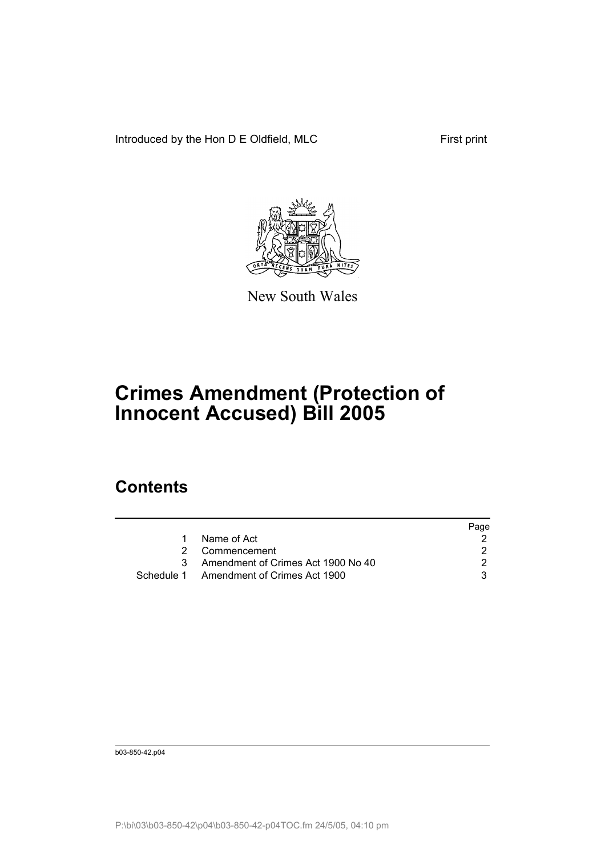Introduced by the Hon D E Oldfield, MLC First print



New South Wales

# **Crimes Amendment (Protection of Innocent Accused) Bill 2005**

### **Contents**

|                                         | Page |
|-----------------------------------------|------|
| Name of Act                             |      |
| 2 Commencement                          |      |
| Amendment of Crimes Act 1900 No 40      |      |
| Schedule 1 Amendment of Crimes Act 1900 |      |
|                                         |      |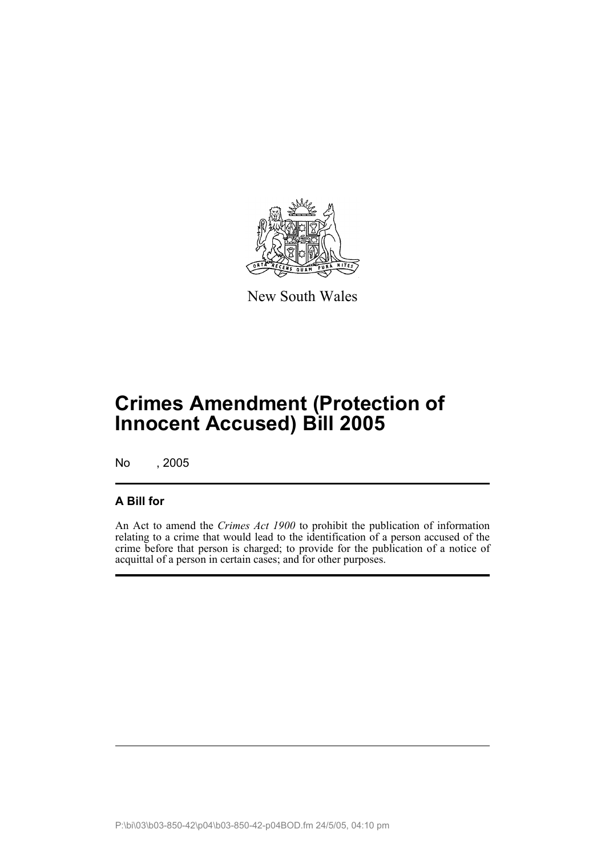

New South Wales

## **Crimes Amendment (Protection of Innocent Accused) Bill 2005**

No , 2005

#### **A Bill for**

An Act to amend the *Crimes Act 1900* to prohibit the publication of information relating to a crime that would lead to the identification of a person accused of the crime before that person is charged; to provide for the publication of a notice of acquittal of a person in certain cases; and for other purposes.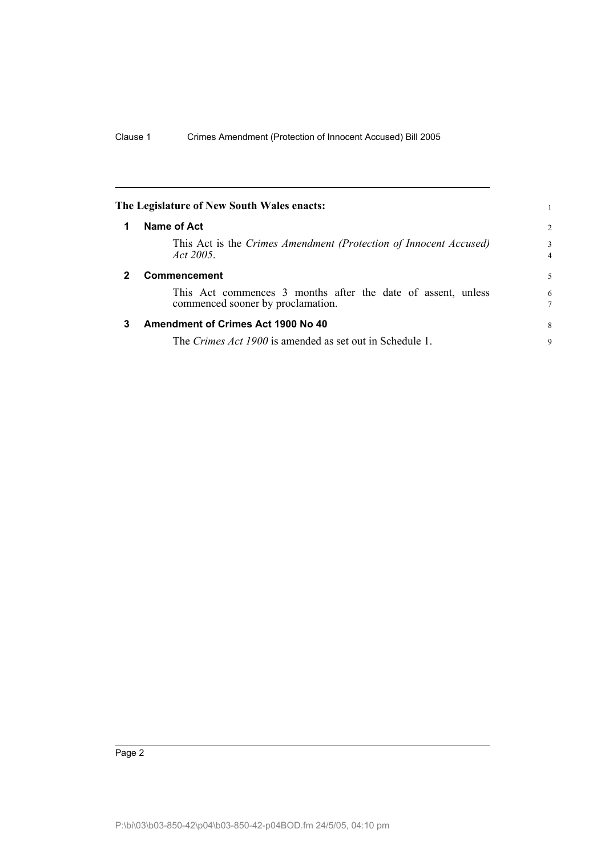<span id="page-5-2"></span><span id="page-5-1"></span><span id="page-5-0"></span>

|              | The Legislature of New South Wales enacts:                                                        |                     |
|--------------|---------------------------------------------------------------------------------------------------|---------------------|
| 1            | Name of Act                                                                                       | 2                   |
|              | This Act is the Crimes Amendment (Protection of Innocent Accused)<br>Act 2005.                    | 3<br>$\overline{4}$ |
| $\mathbf{2}$ | Commencement                                                                                      | 5                   |
|              | This Act commences 3 months after the date of assent, unless<br>commenced sooner by proclamation. | 6<br>$\tau$         |
| 3            | Amendment of Crimes Act 1900 No 40                                                                | 8                   |
|              | The Crimes Act 1900 is amended as set out in Schedule 1.                                          | 9                   |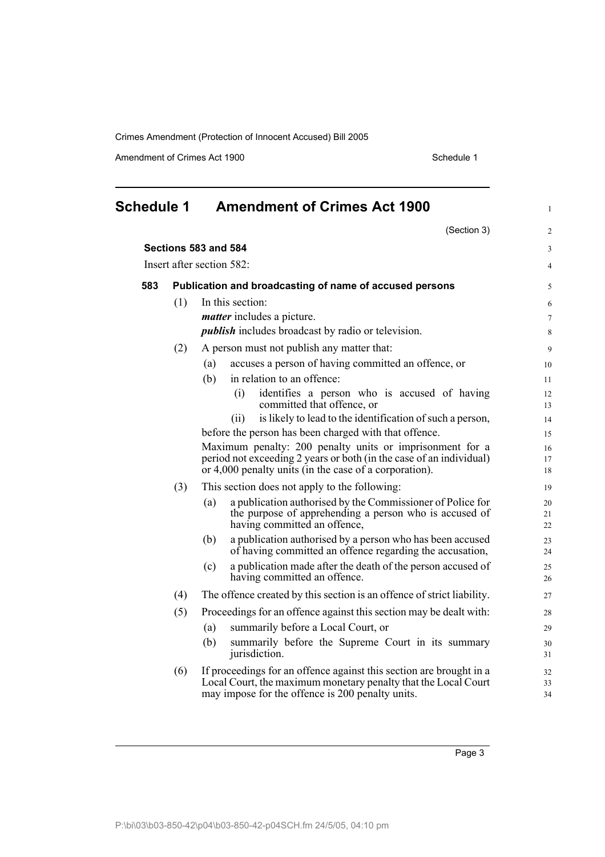Amendment of Crimes Act 1900 Schedule 1

<span id="page-6-0"></span>

| <b>Schedule 1</b> |     | <b>Amendment of Crimes Act 1900</b>                                                                                                                                                       | $\mathbf{1}$   |
|-------------------|-----|-------------------------------------------------------------------------------------------------------------------------------------------------------------------------------------------|----------------|
|                   |     | (Section 3)                                                                                                                                                                               | $\overline{c}$ |
|                   |     | Sections 583 and 584                                                                                                                                                                      | 3              |
|                   |     | Insert after section 582:                                                                                                                                                                 | $\overline{4}$ |
| 583               |     | Publication and broadcasting of name of accused persons                                                                                                                                   | 5              |
|                   | (1) | In this section:                                                                                                                                                                          | 6              |
|                   |     | <i>matter</i> includes a picture.                                                                                                                                                         | 7              |
|                   |     | <i>publish</i> includes broadcast by radio or television.                                                                                                                                 | 8              |
|                   | (2) | A person must not publish any matter that:                                                                                                                                                | 9              |
|                   |     | accuses a person of having committed an offence, or<br>(a)                                                                                                                                | 10             |
|                   |     | in relation to an offence:<br>(b)                                                                                                                                                         | 11             |
|                   |     | (i)<br>identifies a person who is accused of having<br>committed that offence, or                                                                                                         | 12<br>13       |
|                   |     | is likely to lead to the identification of such a person,<br>(ii)                                                                                                                         | 14             |
|                   |     | before the person has been charged with that offence.                                                                                                                                     | 15             |
|                   |     | Maximum penalty: 200 penalty units or imprisonment for a                                                                                                                                  | 16             |
|                   |     | period not exceeding 2 years or both (in the case of an individual)<br>or 4,000 penalty units (in the case of a corporation).                                                             | 17<br>18       |
|                   | (3) | This section does not apply to the following:                                                                                                                                             | 19             |
|                   |     | a publication authorised by the Commissioner of Police for<br>(a)<br>the purpose of apprehending a person who is accused of<br>having committed an offence,                               | 20<br>21<br>22 |
|                   |     | a publication authorised by a person who has been accused<br>(b)<br>of having committed an offence regarding the accusation,                                                              | 23<br>24       |
|                   |     | a publication made after the death of the person accused of<br>(c)<br>having committed an offence.                                                                                        | 25<br>26       |
|                   | (4) | The offence created by this section is an offence of strict liability.                                                                                                                    | 27             |
|                   | (5) | Proceedings for an offence against this section may be dealt with:                                                                                                                        | 28             |
|                   |     | summarily before a Local Court, or<br>(a)                                                                                                                                                 | 29             |
|                   |     | summarily before the Supreme Court in its summary<br>(b)<br>jurisdiction.                                                                                                                 | 30<br>31       |
|                   | (6) | If proceedings for an offence against this section are brought in a<br>Local Court, the maximum monetary penalty that the Local Court<br>may impose for the offence is 200 penalty units. | 32<br>33<br>34 |
|                   |     |                                                                                                                                                                                           |                |